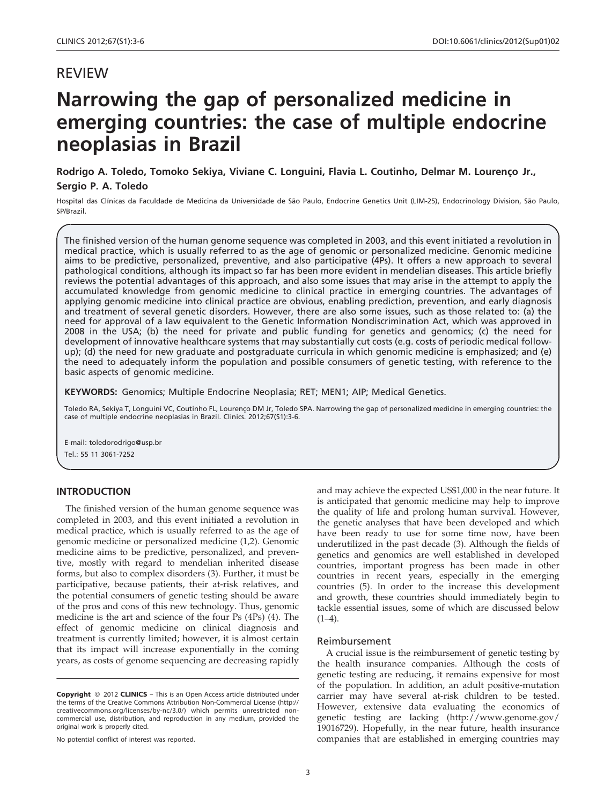# REVIEW

# Narrowing the gap of personalized medicine in emerging countries: the case of multiple endocrine neoplasias in Brazil

Rodrigo A. Toledo, Tomoko Sekiya, Viviane C. Longuini, Flavia L. Coutinho, Delmar M. Lourenço Jr., Sergio P. A. Toledo

Hospital das Clínicas da Faculdade de Medicina da Universidade de São Paulo, Endocrine Genetics Unit (LIM-25), Endocrinology Division, São Paulo, SP/Brazil.

The finished version of the human genome sequence was completed in 2003, and this event initiated a revolution in medical practice, which is usually referred to as the age of genomic or personalized medicine. Genomic medicine aims to be predictive, personalized, preventive, and also participative (4Ps). It offers a new approach to several pathological conditions, although its impact so far has been more evident in mendelian diseases. This article briefly reviews the potential advantages of this approach, and also some issues that may arise in the attempt to apply the accumulated knowledge from genomic medicine to clinical practice in emerging countries. The advantages of applying genomic medicine into clinical practice are obvious, enabling prediction, prevention, and early diagnosis and treatment of several genetic disorders. However, there are also some issues, such as those related to: (a) the need for approval of a law equivalent to the Genetic Information Nondiscrimination Act, which was approved in 2008 in the USA; (b) the need for private and public funding for genetics and genomics; (c) the need for development of innovative healthcare systems that may substantially cut costs (e.g. costs of periodic medical followup); (d) the need for new graduate and postgraduate curricula in which genomic medicine is emphasized; and (e) the need to adequately inform the population and possible consumers of genetic testing, with reference to the basic aspects of genomic medicine.

KEYWORDS: Genomics; Multiple Endocrine Neoplasia; RET; MEN1; [AIP; Medical Genetics.](#page-2-0)

Toledo RA, Sekiya T, Longuini VC, Coutinho FL, Lourenço DM Jr, Toledo SPA. Narrowing [the gap of personalized medicine in emerging countries: the](#page-2-0) case of multiple endocrine neoplasias in Brazil. Clinics. 2012;67(S1):3-6.

E-mail: [toledorodrigo@usp.br](#page-2-0) Tel.: 55 [11 3061-7252](#page-2-0)

# INTRO[DUCTION](#page-2-0)

The fi[nished version of the human genome sequence was](#page-2-0) complet[ed in 2003, and this event initiated a revolution in](#page-2-0) medical [practice, which is usually referred to as the age of](#page-2-0) genomic [medicine or personalized medicine \(1,2\). Genomic](#page-2-0) medicin[e aims to be predictive, personalized, and preven](#page-2-0)tive, mostly with regard to mendelian inherited disease forms, but also to complex disorders (3). Further, it must be participative, because patients, their at-risk relatives, and the potential consumers of genetic testing should be aware of the pros and cons of this new technology. Thus, genomic medicine is the art and science of the four Ps (4Ps) (4). The effect of genomic medicine on clinical diagnosis and treatment is currently limited; however, it is almost certain that its impact will increase exponentially in the coming years, as costs of genome sequencing are decreasing rapidly

No potential conflict of interest was reported.

and ma[y achieve the expected US\\$1,000 in the near future. It](#page-2-0) is antici[pated that genomic medicine may help to improve](#page-2-0) the qual[ity of](#page-2-0) life and prolong human survival. However, the genetic analyses that have been developed and which have been ready to use for some time now, have been underutilized in the past decade (3). Although the fields of genetics and genomics are well established in developed countries, important progress has been made in other countries in recent years, especially in the emerging countries (5). In order to the increase this development and growth, these countries should immediately begin to tackle essential issues, some of which are discussed below  $(1-4)$ .

## Reimbursement

A crucial issue is the reimbursement of genetic testing by the health insurance companies. Although the costs of genetic testing are reducing, it remains expensive for most of the population. In addition, an adult positive-mutation carrier may have several at-risk children to be tested. However, extensive data evaluating the economics of genetic testing are lacking (http://www.genome.gov/ 19016729). Hopefully, in the near future, health insurance companies that are established in emerging countries may

Copyright © 2012 CLINICS - This is an Open Access article distributed under the terms of the Creative Commons Attribution Non-Commercial License (http:// creativecommons.org/licenses/by-nc/3.0/) which permits unrestricted non-commercial use, distribution, and reproduction in any medium, provided the original work is properly cited.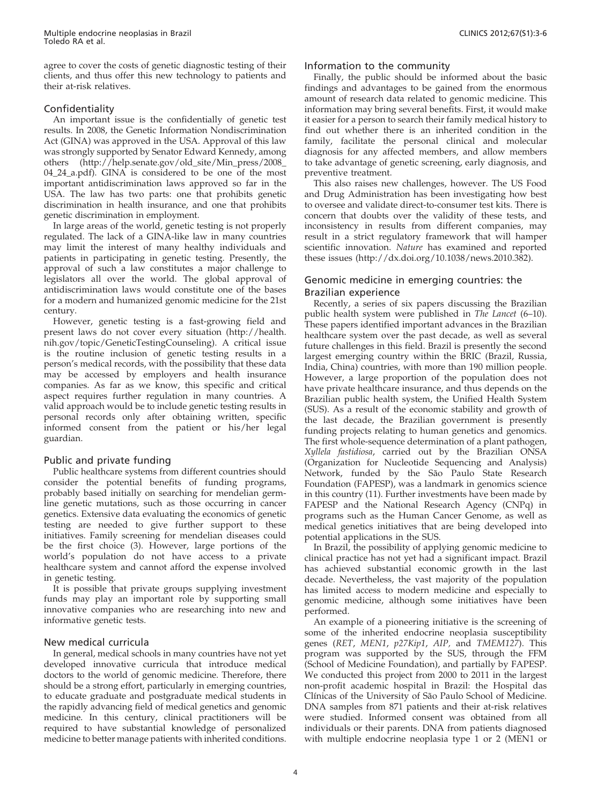Multiple endocrine neoplasias in Brazil Toledo RA et al.

agree to cover the costs of genetic diagnostic testing of their clients, and thus offer this new technology to patients and their at-risk relatives.

# Confidentiality

An important issue is the confidentially of genetic test results. In 2008, the Genetic Information Nondiscrimination Act (GINA) was approved in the USA. Approval of this law was strongly supported by Senator Edward Kennedy, among others (http://help.senate.gov/old\_site/Min\_press/2008\_ 04\_24\_a.pdf). GINA is considered to be one of the most important antidiscrimination laws approved so far in the USA. The law has two parts: one that prohibits genetic discrimination in health insurance, and one that prohibits genetic discrimination in employment.

In large areas of the world, genetic testing is not properly regulated. The lack of a GINA-like law in many countries may limit the interest of many healthy individuals and patients in participating in genetic testing. Presently, the approval of such a law constitutes a major challenge to legislators all over the world. The global approval of antidiscrimination laws would constitute one of the bases for a modern and humanized genomic medicine for the 21st century.

However, genetic testing is a fast-growing field and present laws do not cover every situation (http://health. nih.gov/topic/GeneticTestingCounseling). A critical issue is the routine inclusion of genetic testing results in a person's medical records, with the possibility that these data may be accessed by employers and health insurance companies. As far as we know, this specific and critical aspect requires further regulation in many countries. A valid approach would be to include genetic testing results in personal records only after obtaining written, specific informed consent from the patient or his/her legal guardian.

## Public [and private funding](#page-2-0)

Public [healthcare system](#page-2-0)s from different countries should consider the potential benefits of funding programs, probably based initially on searching for mendelian germline genetic mutations, such as those occurring in cancer genetics. Extensive data evaluating the economics of genetic testing are needed to give further support to these initiatives. Family screening for mendelian diseases could be the first choice (3). However, large portions of the world's population do not have access to a private healthcare system and cannot afford the expense involved in genetic testing.

It is possible that private groups supplying investment funds may play an important role by supporting small innovative companies who are researching into new and informative genetic tests.

## New medical curricula

In general, medical schools in many countries have not yet developed innovative curricula that introduce medical doctors to the world of genomic medicine. Therefore, there should be a strong effort, particularly in emerging countries, to educate graduate and postgraduate medical students in the rapidly advancing field of medical genetics and genomic medicine. In this century, clinical practitioners will be required to have substantial knowledge of personalized medicine to better manage patients with inherited conditions.

## Information to the community

Finally, the public should be informed about the basic findings and advantages to be gained from the enormous amount of research data related to genomic medicine. This information may bring several benefits. First, it would make it easier for a person to search their family medical history to find out whether there is an inherited condition in the family, facilitate the personal clinical and molecular diagnosis for any affected members, and allow members to take advantage of genetic screening, early diagnosis, and preventive treatment.

This also raises new challenges, however. The US Food and Drug Administration has been investigating how best to oversee and validate direct-to-consumer test kits. There is concern [that doubts over the validity of these tests, and](#page-2-0) inconsis[tency in results from different companies, may](#page-2-0) result i[n a strict regulatory framework that will hamper](#page-2-0) scientific innovation. Nature [has examined and reported](#page-2-0) these iss[ues \(http://dx.doi.org/10.1038/news.2010.382\).](#page-2-0)

# Genom[ic medicine in emerging countries: the](#page-2-0) Brazilia[n experience](#page-2-0)

Recen[tly, a series of six papers discussing the Brazilian](#page-2-0) public h[ealth system were published in](#page-2-0) The Lancet (6-10). These p[apers identified important advances in the Brazilian](#page-2-0) healthca[re system over the past decade, as well as several](#page-2-0) future c[hallenges in this field. Brazil is presently the second](#page-2-0) largest [emerging country within the BRIC \(Brazil, Russia,](#page-2-0) India, C[hina\) countries, with more than 190 million people.](#page-2-0) Howeve[r, a large proportion of the population does not](#page-2-0) have pri[vate healthcare insurance, and thus depends on the](#page-2-0) Brazilia[n public health system, the Unified Health System](#page-2-0) (SUS). [As a result of the economic stability and growth of](#page-2-0) the last [decade, the Brazilian government is presently](#page-2-0) funding [projects relating to human geneti](#page-2-0)cs and genomics. [The](#page-2-0) first whole-sequence determination of a plant pathogen, [Xylle](#page-2-0)la fastidiosa, carried out by the Brazilian ONSA (Organization for Nucleotide Sequencing and Analysis) Network, funded by the São Paulo State Research Foundation (FAPESP), was a landmark in genomics science in this country (11). Further investments have been made by FAPESP and the National Research Agency (CNPq) in programs such as the Human Cancer Genome, as well as medical genetics initiatives that are being developed into potential applications in the SUS.

In Brazil, the possibility of applying genomic medicine to clinical practice has not yet had a significant impact. Brazil has achieved substantial economic growth in the last decade. Nevertheless, the vast majority of the population has limited access to modern medicine and especially to genomic medicine, although some initiatives have been performed.

An example of a pioneering initiative is the screening of some of the inherited endocrine neoplasia susceptibility genes (RET, MEN1, p27Kip1, AIP, and TMEM127). This program was supported by the SUS, through the FFM (School of Medicine Foundation), and partially by FAPESP. We conducted this project from 2000 to 2011 in the largest non-profit academic hospital in Brazil: the Hospital das Clínicas of the University of São Paulo School of Medicine. DNA samples from 871 patients and their at-risk relatives were studied. Informed consent was obtained from all individuals or their parents. DNA from patients diagnosed with multiple endocrine neoplasia type 1 or 2 (MEN1 or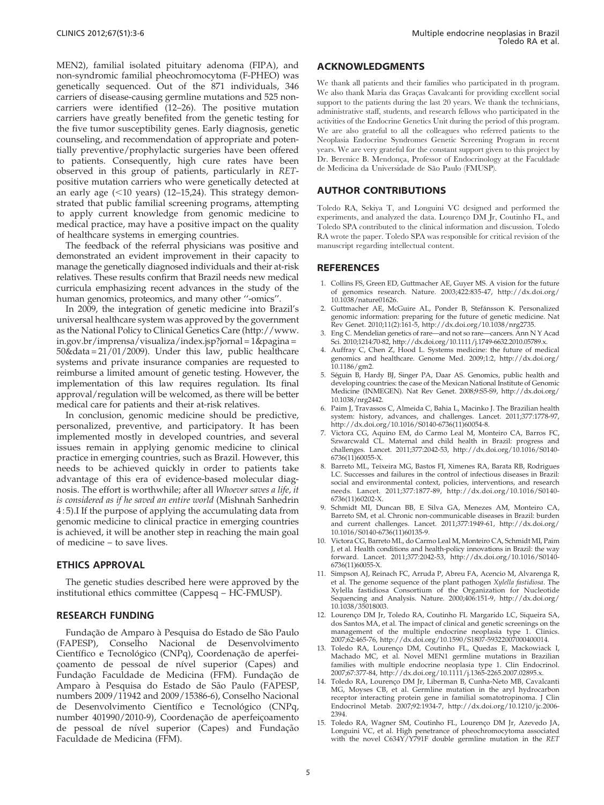<span id="page-2-0"></span>MEN2), familial isolated pituitary adenoma (FIPA), and non-syndromic familial pheochromocytoma (F-PHEO) was genetically sequenced. Out of the 871 individuals, 346 carriers of disease-causing germline mutations and 525 noncarriers were identified (12–26). The positive mutation carriers have greatly benefited from the genetic testing for the five tumor susceptibility genes. Early diagnosis, genetic counseling, and recommendation of appropriate and potentially preventive/prophylactic surgeries have been offered to patients. Consequently, high cure rates have been observed in this group of patients, particularly in RETpositive mutation carriers who were genetically detected at an early age  $(<10$  years) (12-15,24). This strategy demonstrated that public familial screening programs, attempting to apply current knowledge from genomic medicine to medical practice, may have a positive impact on the quality of healthcare systems in emerging countries.

The feedback of the referral physicians was positive and demonstrated an evident improvement in their capacity to manage the genetically diagnosed individuals and their at-risk relatives. These results confirm that Brazil needs new medical curricula emphasizing recent advances in the study of the human genomics, proteomics, and many other ''-omics''.

In 2009, the integration of genetic medicine into Brazil's universal healthcare system was approved by the government as the National Policy to Clinical Genetics Care (http://www. in.gov.br/imprensa/visualiza/index.jsp?jornal = 1&pagina = 50&data = 21/01/2009). Under this law, public healthcare systems and private insurance companies are requested to reimburse a limited amount of genetic testing. However, the implementation of this law requires regulation. Its final approval/regulation will be welcomed, as there will be better medical care for patients and their at-risk relatives.

In conclusion, genomic medicine should be predictive, personalized, preventive, and participatory. It has been implemented mostly in developed countries, and several issues remain in applying genomic medicine to clinical practice in emerging countries, such as Brazil. However, this needs to be achieved quickly in order to patients take advantage of this era of evidence-based molecular diagnosis. The effort is worthwhile; after all Whoever saves a life, it is considered as if he saved an entire world (Mishnah Sanhedrin 455).I If the purpose of applying the accumulating data from genomic medicine to clinical practice in emerging countries is achieved, it will be another step in reaching the main goal of medicine – to save lives.

## ETHICS APPROVAL

The genetic studies described here were approved by the institutional ethics committee (Cappesq – HC-FMUSP).

## RESEARCH FUNDING

Fundação de Amparo à Pesquisa do Estado de São Paulo (FAPESP), Conselho Nacional de Desenvolvimento Científico e Tecnológico (CNPq), Coordenação de aperfeiçoamento de pessoal de nível superior (Capes) and Fundação Faculdade de Medicina (FFM). Fundação de Amparo à Pesquisa do Estado de São Paulo (FAPESP, numbers 2009/11942 and 2009/15386-6), Conselho Nacional de Desenvolvimento Científico e Tecnológico (CNPq, number 401990/2010-9), Coordenação de aperfeiçoamento de pessoal de nível superior (Capes) and Fundação Faculdade de Medicina (FFM).

# ACKNOWLEDGMENTS

We thank all patients and their families who participated in th program. We also thank Maria das Graças Cavalcanti for providing excellent social support to the patients during the last 20 years. We thank the technicians, administrative staff, students, and research fellows who participated in the activities of the Endocrine Genetics Unit during the period of this program. We are also grateful to all the colleagues who referred patients to the Neoplasia Endocrine Syndromes Genetic Screening Program in recent years. We are very grateful for the constant support given to this project by Dr. Berenice B. Mendonça, Professor of Endocrinology at the Faculdade de Medicina da Universidade de São Paulo (FMUSP).

## AUTHOR [CONTRIBUTIONS](http://dx.doi.org/10.1038%2Fnature01626)

Toledo RA, [Sekiya T, and Longuini VC designed and performed the](http://dx.doi.org/10.1038%2Fnrg2735) experiments, and analyzed the data. Lourenço DM Jr, Coutinho FL, and Toledo SPA c[ontributed to the clinical information and discussion. Toledo](http://dx.doi.org/10.1111%2Fj.1749-6632.2010.05789.x) RA wrote the [paper. Toledo SPA was responsible for critical revision of the](http://dx.doi.org/10.1111%2Fj.1749-6632.2010.05789.x) manuscript re[garding intellectual content.](http://dx.doi.org/10.1186%2Fgm2)

## **REFEREN[CES](http://dx.doi.org/10.1038%2Fnrg2442)**

- 1. Collins FS, [Green ED, Guttmacher AE, Guyer MS. A vision for the future](http://dx.doi.org/10.1038%2Fnrg2442) of genom[ics research. Na](http://dx.doi.org/10.1038%2Fnrg2442)ture. 2003;422:835-47, http://dx.doi.org/ 10.1038/nature01626.
- 2. Guttmacher AE, McGuire AL, Ponder B, Stefánsson K. Personalized genomic i[nformation: preparing for the future of genetic med](http://dx.doi.org/10.1016%2FS0140-6736%2811%2960054-8)icine. Nat Rev Genet. [2010;11\(2\):161-5, http://dx.doi.org/10.1038/nrg2735.](http://dx.doi.org/10.1016%2FS0140-6736%2811%2960055-X)
- 3. Eng C. Me[ndelian genetics of rare—and not so rare—cancers. Ann N Y Acad](http://dx.doi.org/10.1016%2FS0140-6736%2811%2960055-X) Sci. 2010;12[14:70-82, http://dx.doi.org/10.1111/j.1749-6632.2010.05789.x.](http://dx.doi.org/10.1016%2FS0140-6736%2811%2960055-X)
- 4. Auffray C, [Chen Z, Hood](http://dx.doi.org/10.1016%2FS0140-6736%2811%2960055-X) L. Systems medicine: the future of medical genomics [and healthcare. Genome Med. 2009;1:2, http://dx.doi.org/](http://dx.doi.org/10.1016%2FS0140-6736%2811%2960202-X) 10.1186/gm2.
- 5. Séguin B, [Hardy BJ, Singer PA, Daar AS. Genomics, public health and](http://dx.doi.org/10.1016%2FS0140-6736%2811%2960202-X) developing [countries: the case of the Mexican National Institute of Genomic](http://dx.doi.org/10.1016%2FS0140-6736%2811%2960202-X) Medicine ([INMEGEN\). Nat](http://dx.doi.org/10.1016%2FS0140-6736%2811%2960202-X) Rev Genet. 2008;9:S5-S9, http://dx.doi.org/ 10.1038/nrg2442.
- 6. Paim J, Tra[vassos C, Almeida C, Bahia L, Macinko J. The Brazilian health](http://dx.doi.org/10.1016%2FS0140-6736%2811%2960135-9) system: hi[story, advances, and challenges. Lancet. 2011;377:1778-97,](http://dx.doi.org/10.1016%2FS0140-6736%2811%2960135-9) http://dx.[doi.org/10.1016/S0140-6736\(11\)6](http://dx.doi.org/10.1016%2FS0140-6736%2811%2960135-9)0054-8.
- 7. Victora C[G, Aquino EM, do Carmo Leal M, Monteiro CA, Barros FC,](http://dx.doi.org/10.1016%2FS0140-6736%2811%2960055-X) Szwarcwal[d CL. Maternal and child health in Brazil: progress and](http://dx.doi.org/10.1016%2FS0140-6736%2811%2960055-X) challenges. [Lancet. 2011;377:2042-53, http://dx.doi.org/10.1016/S0140-](http://dx.doi.org/10.1016%2FS0140-6736%2811%2960055-X) 6736(11)60[055-X.](http://dx.doi.org/10.1016%2FS0140-6736%2811%2960055-X)
- 8. Barreto M[L, Teixeira MG, Bastos FI, Ximenes RA, Barata RB, Rodrigues](http://dx.doi.org/10.1038%2F35018003) LC. Succes[ses and failures in the control of infectious diseases in Brazil:](http://dx.doi.org/10.1038%2F35018003) social and [environmental context, policies, interventions, and research](http://dx.doi.org/10.1038%2F35018003) needs. La[ncet. 2011;377:1877-89, http://dx.doi.org/10.1016/S0140-](http://dx.doi.org/10.1038%2F35018003) 6736(11)60[202-X.](http://dx.doi.org/10.1038%2F35018003)
- 9. Schmidt [MI, Duncan BB, E Silva GA, Menezes AM, Monteiro CA,](http://dx.doi.org/10.1590%2FS1807-59322007000400014) Barreto S[M, et al. Chronic non-communicable diseases in Brazil: burden](http://dx.doi.org/10.1590%2FS1807-59322007000400014) and curre[nt challenges. Lancet. 2011;377:1949-61, http://dx.doi.org/](http://dx.doi.org/10.1590%2FS1807-59322007000400014) 10.1016/S0[140-6736\(11\)60135-9.](http://dx.doi.org/10.1590%2FS1807-59322007000400014)
- 10. Victora CG[, Barreto ML, do Carmo Leal M, Monteiro CA, Schmidt MI, Paim](http://dx.doi.org/10.1111%2Fj.1365-2265.2007.02895.x) J, et al. He[alth conditions and health-policy innovations in Brazil: the way](http://dx.doi.org/10.1111%2Fj.1365-2265.2007.02895.x) forward. [Lancet. 2011;377:2042-53, http://dx.doi.org/10.1016/S0140-](http://dx.doi.org/10.1111%2Fj.1365-2265.2007.02895.x) 6736(11)60055-X.
- 11. Simpson A[J, Reinach FC, Arruda P, Abreu FA, Acencio M, Alvarenga R,](http://dx.doi.org/10.1210%2Fjc.2006-2394) et al. The [genome sequence of the plant pathogen](http://dx.doi.org/10.1210%2Fjc.2006-2394) Xylella fastidiosa. The Xylella fa[stidiosa Consortium of the Organization for Nucleotide](http://dx.doi.org/10.1210%2Fjc.2006-2394) Sequencin[g and Analysis. Nature. 2000;406:151-9, http://dx.doi.org/](http://dx.doi.org/10.1210%2Fjc.2006-2394) 10.1038/35[01800](http://dx.doi.org/10.1210%2Fjc.2006-2394)3.
- 12. Lourenço [DM Jr, Toledo RA, Coutinho FL Margarido LC, Siqueira SA,](http://dx.doi.org/10.1210%2Fjc.2009-1355) dos Santos [MA, et al. The impact of clinical and genetic screenings on the](http://dx.doi.org/10.1210%2Fjc.2009-1355) manageme[nt of the multiple endocrine neoplasia type 1. Clinics.](http://dx.doi.org/10.1210%2Fjc.2009-1355) 2007;62:465-76, http://dx.doi.org/10.1590/S1807-59322007000400014.
- 13. Toledo RA, Lourenco DM, Coutinho FL, Ouedas E, Mackowiack I, Machado MC, et al. Novel MEN1 germline mutations in Brazilian families with multiple endocrine neoplasia type 1. Clin Endocrinol. 2007;67:377-84, http://dx.doi.org/10.1111/j.1365-2265.2007.02895.x.
- Toledo RA, Lourenço DM Jr, Liberman B, Cunha-Neto MB, Cavalcanti MG, Moyses CB, et al. Germline mutation in the aryl hydrocarbon receptor interacting protein gene in familial somatotropinoma. J Clin Endocrinol Metab. 2007;92:1934-7, http://dx.doi.org/10.1210/jc.2006- 2394.
- 15. Toledo RA, Wagner SM, Coutinho FL, Lourenço DM Jr, Azevedo JA, Longuini VC, et al. High penetrance of pheochromocytoma associated with the novel C634Y/Y791F double germline mutation in the RET